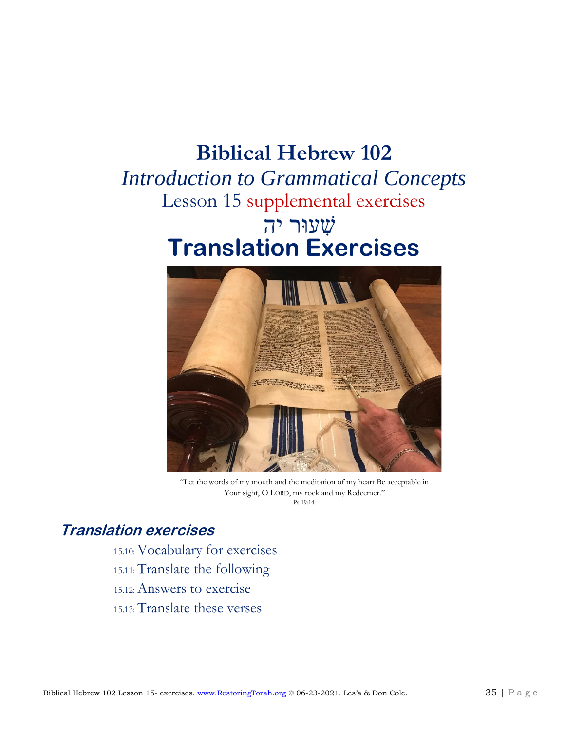## **Biblical Hebrew 102**

# *Introduction to Grammatical Concepts* Lesson 15 supplemental exercises שׁ ִעוּר יהִ **Translation Exercises**



"Let the words of my mouth and the meditation of my heart Be acceptable in Your sight, O LORD, my rock and my Redeemer." Ps 19:14.

## **Translation exercises**

15.10: Vocabulary for exercises 15.11: Translate the following 15.12: Answers to exercise 15.13: Translate these verses

Biblical Hebrew 102 Lesson 15- exercises. [www.RestoringTorah.org](http://www.restoringtorah.org/) © 06-23-2021. Les'a & Don Cole. 35 | P a g e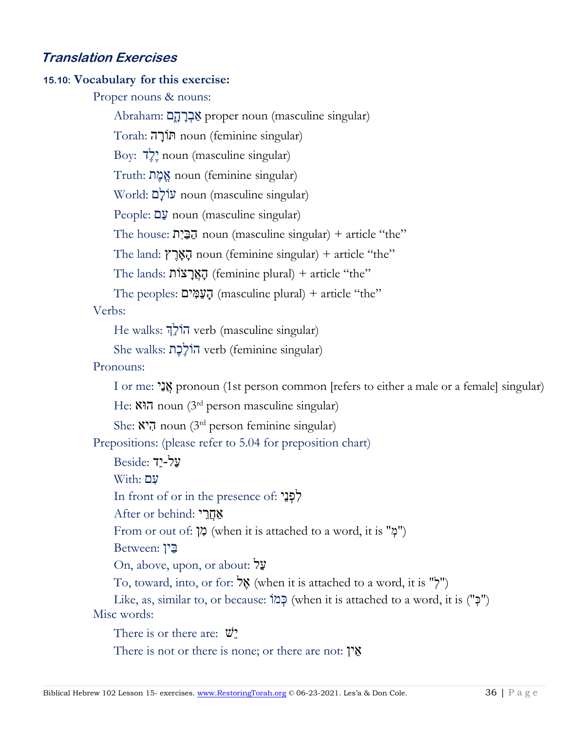### **Translation Exercises**

#### **15.10: Vocabulary for this exercise:**

Proper nouns & nouns:

Abraham: אַבְרָהָם proper noun (masculine singular) Torah: ה ָורֹתּ noun (feminine singular) Boy: דֶלֶי noun (masculine singular) Truth: ת ֶמֱא noun (feminine singular) World: םָולֹע noun (masculine singular) People: םַע noun (masculine singular) The house:  $\overline{C}$ בֵּיִת noun (masculine singular) + article "the" The land: הַאֲרָץ noun (feminine singular) + article "the" The lands: הַאֲרַצוֹת (feminine plural) + article "the" The peoples: הַעֲמָּים (masculine plural) + article "the" Verbs: He walks: ךְֵולֹה verb (masculine singular) She walks: תֶכֶולֹה verb (feminine singular) Pronouns: I or me: יַנֲא pronoun (1st person common [refers to either a male or a female] singular) He: הוא noun (3<sup>rd</sup> person masculine singular) She: הָיא noun (3<sup>rd</sup> person feminine singular) Prepositions: (please refer to 5.04 for preposition chart) עַל-יַד :Beside  $With: 2<sup>y</sup>$ In front of or in the presence of: לְפָנֵי After or behind: אַחֲרֵי From or out of: "מְ") (when it is attached to a word, it is "מִ בֵּין :Between On, above, upon, or about: לַע  $\sigma$ , toward, into, or for: אֱלְ (when it is attached to a word, it is "ֹיְ Like, as, similar to, or because: מוִֹ כּ) when it is attached to a word, it is ("ִ כּ(" Misc words: There is or there are:  $\ddot{\mathbf{v}}$ There is not or there is none; or there are not:  $\gamma$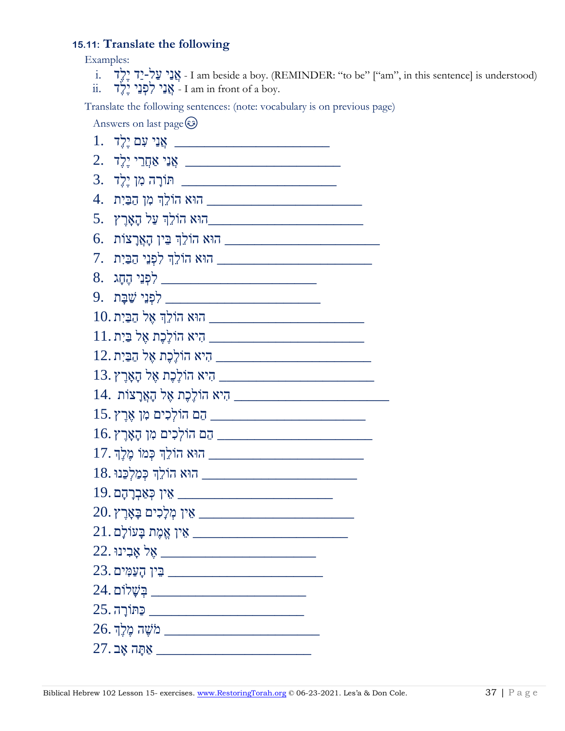### **15.11: Translate the following**

Examples:

- i. דֶלֶיִדַיִ-לַעִיַנֲא I am beside a boy. (REMINDER: "to be" ["am", in this sentence] is understood)
- $\ddot{\text{a}}$ . אֲנֵי לִפְנֵי יֶלֶד  $\cdot$  I am in front of a boy.

Translate the following sentences: (note: vocabulary is on previous page)

Answers on last page  $\odot$ 

| 1.                                                                   |
|----------------------------------------------------------------------|
| 2.                                                                   |
| ובה מן יולד (הובדה הובה הות הות הות הות הות הו $\quad \, -$          |
| 4.                                                                   |
|                                                                      |
| 6.                                                                   |
| 7.                                                                   |
| <u>8. קהָג הָחָג (לפְנֵי הֶחָג)</u>                                  |
| 9. <u>ה המשבח המשפח.</u>                                             |
|                                                                      |
| ון פֵיִת פֵית פֵית (בּוֹע בִּיִת הוֹלְכֶת אֶל בַּיִת בּוֹת בִּ $\mu$ |
| היא הוֹלֶכֶת אֶל הַבַּיִת. $\hfill\blacksquare$                      |
| 13. היאָרָץ אָל הָאָרֶץ T                                            |
| <u> 14. היא הוֹלֶכֶת אֶל הָאֲרָצוֹת .</u>                            |
| ה הוֹלְכִים מִן אֶרֶץ.                                               |
| הם הוֹלְכִים מִן הָאָרֶץ I6. <u>וויי העבר הו</u>                     |
| ו הוא הוֹלֵךְ כְּמוֹ מֶלֶךְ. באת הוֹלֵךְ בִּמוֹ מֶלֶךְ. באת הוֹלִ    |
| הוא הוֹלֵךְ כְּמַלְכֵּנוּ .18. הוֹא הוֹלֵךְ                          |
| 19. <u>אין כְּא</u> בְרָהָם <u>[א</u> י                              |
| 20. אין מְלָכִים בָּאָרֶץ $\text{S}$                                 |
| $21.\,$ בענילָם הארי הארי הארי האין אֱמֶת בַּעוֹלָם $\,$             |
| 22. אָבִינוּ .                                                       |
| $23.$ בִּין הָעַמִּים. $\_\_$                                        |
| $24.$ בַּשְׁלוֹם הַ $\frac{1}{2}$                                    |
| <u>- פחורה C5. בתחורה בחורה ב-25 ב</u>                               |
| $26.$ מֹשֶׁה מֶלֵךְ $\blacksquare$                                   |
| <u>27. אַתָּה אָב</u>                                                |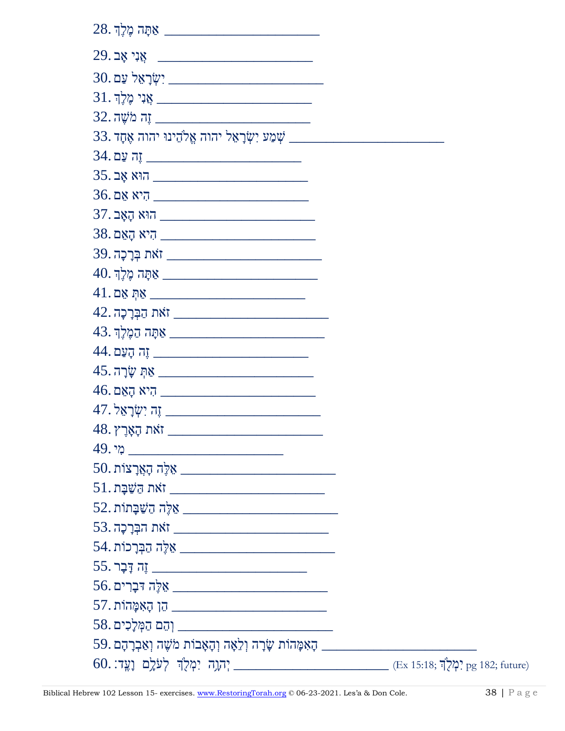| <u> אַתָּה מֶלֶךְ 28.</u>                                                                                                                                                                                                                                                                                                                                                 |  |
|---------------------------------------------------------------------------------------------------------------------------------------------------------------------------------------------------------------------------------------------------------------------------------------------------------------------------------------------------------------------------|--|
| אָנִי אָב $\begin{array}{ c c } \hline \rule{2.2cm}{0.2cm} \multicolumn{3}{c }{29.24\,} & \multicolumn{3}{c }{29.23\,} & \multicolumn{3}{c }{29.23\,} & \multicolumn{3}{c }{29.23\,} & \multicolumn{3}{c }{29.23\,} & \multicolumn{3}{c }{29.23\,} & \multicolumn{3}{c }{29.23\,} & \multicolumn{3}{c }{29.23\,} & \multicolumn{3}{c }{29.23\,} & \multicolumn{3}{c }{29$ |  |
| ישׂרָאֵל עַם.<br>                                                                                                                                                                                                                                                                                                                                                         |  |
| אָנִי מֶלֶךְ או בעבר העבר הערבער האיני און אוי און אוי און $\mu$                                                                                                                                                                                                                                                                                                          |  |
|                                                                                                                                                                                                                                                                                                                                                                           |  |
| 33. האנה אֱלֹהֵינוּ יהוה אֱתָד אֵלֹהַ האת האֲלֹהַ הוא הוה הוה אֲתָד $\varphi$                                                                                                                                                                                                                                                                                             |  |
| ה עם 34.                                                                                                                                                                                                                                                                                                                                                                  |  |
| הוא אָב $\frac{1}{25}$                                                                                                                                                                                                                                                                                                                                                    |  |
| ר היא אַם) <u>רעבער היא אַ ה</u>                                                                                                                                                                                                                                                                                                                                          |  |
| הוא הָאָב <sub>ּ</sub> 37.                                                                                                                                                                                                                                                                                                                                                |  |
| ר היא הַאֵם) או האָם או דער היא הַאָם.                                                                                                                                                                                                                                                                                                                                    |  |
| 39. בריי האת האת האת האת האת ה                                                                                                                                                                                                                                                                                                                                            |  |
| <u> 40. אַמָּה מֶלֶךְ – 40. בר הרב הרב המוחשב המש</u>                                                                                                                                                                                                                                                                                                                     |  |
| $41.$ אַתְּ אֵם $\overline{\phantom{a}1}$                                                                                                                                                                                                                                                                                                                                 |  |
| <u> 42. הַבְּרָכָה </u> זאת הַבְּרָכָה                                                                                                                                                                                                                                                                                                                                    |  |
|                                                                                                                                                                                                                                                                                                                                                                           |  |
| ה הָעַם .44) <u>ה</u> הָעַם.                                                                                                                                                                                                                                                                                                                                              |  |
| קָ שֶׂרָה 45. עֲרָ $\frac{1}{2}$ אֶת                                                                                                                                                                                                                                                                                                                                      |  |
|                                                                                                                                                                                                                                                                                                                                                                           |  |
|                                                                                                                                                                                                                                                                                                                                                                           |  |
| יאת הָאָרֶץ.48                                                                                                                                                                                                                                                                                                                                                            |  |
| - מי .49                                                                                                                                                                                                                                                                                                                                                                  |  |
| 50. אַלֶּה הָאֲרָצוֹת $\blacksquare$                                                                                                                                                                                                                                                                                                                                      |  |
| <u> 51. השׁבָּת  – העני ה</u> נאת האת ה                                                                                                                                                                                                                                                                                                                                   |  |
| $52.$ מֹשֶׁבָּתוֹת אֵלֶּה הַעַּבְתוֹת $\blacksquare$                                                                                                                                                                                                                                                                                                                      |  |
| $53.\,$ הִבְּרָכָה $\qquad \qquad$ אֹת הַבְּרָכָה                                                                                                                                                                                                                                                                                                                         |  |
| $54.$ הַבְּרָכוֹת אֵלֶּה הַבְּרָכוֹת $\blacksquare$                                                                                                                                                                                                                                                                                                                       |  |
| ה דָּבָר .55] הַתְּ $\frac{1}{2}$                                                                                                                                                                                                                                                                                                                                         |  |
|                                                                                                                                                                                                                                                                                                                                                                           |  |
| הַן הָאִמָּהוֹת.57.                                                                                                                                                                                                                                                                                                                                                       |  |
|                                                                                                                                                                                                                                                                                                                                                                           |  |
|                                                                                                                                                                                                                                                                                                                                                                           |  |
| $\sim$ נְהֶן, יִמְלֻךְּ לְעֹלֶם וָעֱד: Ex 15:18; יִמְלֻךְּ לְעֹלֶם וָעֱד: pg 182; future)                                                                                                                                                                                                                                                                                 |  |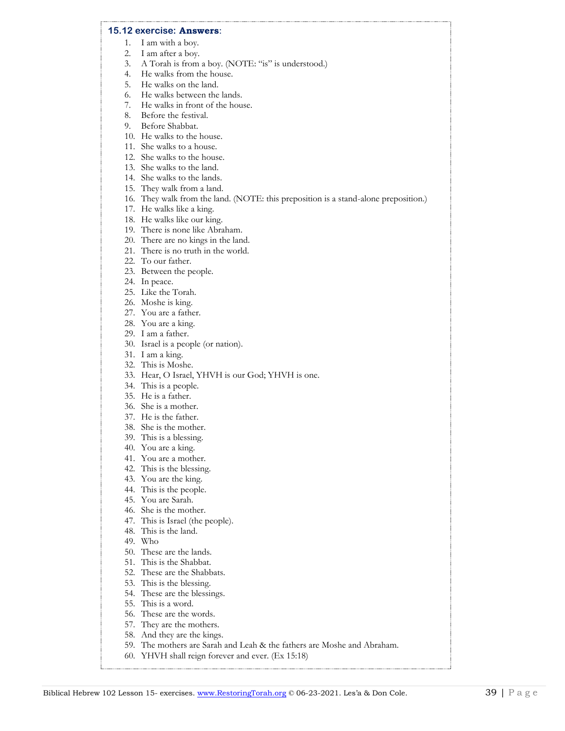#### **15.12 exercise: Answers**:

- 1. I am with a boy.
- 2. I am after a boy.
- 3. A Torah is from a boy. (NOTE: "is" is understood.)
- 4. He walks from the house.
- 5. He walks on the land.
- 6. He walks between the lands.
- 7. He walks in front of the house.
- 8. Before the festival.
- 9. Before Shabbat.
- 10. He walks to the house.
- 11. She walks to a house.
- 12. She walks to the house.
- 13. She walks to the land.
- 14. She walks to the lands.
- 15. They walk from a land.
- 16. They walk from the land. (NOTE: this preposition is a stand-alone preposition.)
- 17. He walks like a king.
- 18. He walks like our king.
- 19. There is none like Abraham.
- 20. There are no kings in the land.
- 21. There is no truth in the world.
- 22. To our father.
- 23. Between the people.
- 24. In peace.
- 25. Like the Torah.
- 26. Moshe is king.
- 27. You are a father.
- 28. You are a king.
- 29. I am a father.
- 30. Israel is a people (or nation).
- 31. I am a king.
- 32. This is Moshe.
- 33. Hear, O Israel, YHVH is our God; YHVH is one.
- 34. This is a people.
- 35. He is a father.
- 36. She is a mother.
- 37. He is the father.
- 38. She is the mother.
- 39. This is a blessing.
- 40. You are a king.
- 41. You are a mother.
- 42. This is the blessing.
- 43. You are the king.
- 44. This is the people.
- 45. You are Sarah.
- 46. She is the mother.
- 47. This is Israel (the people).
- 48. This is the land.
- 49. Who
- 50. These are the lands.
- 51. This is the Shabbat.
- 52. These are the Shabbats.
- 53. This is the blessing.
- 54. These are the blessings.
- 55. This is a word.
- 56. These are the words.
- 57. They are the mothers.
- 58. And they are the kings.
- 59. The mothers are Sarah and Leah & the fathers are Moshe and Abraham.
- 60. YHVH shall reign forever and ever. (Ex 15:18)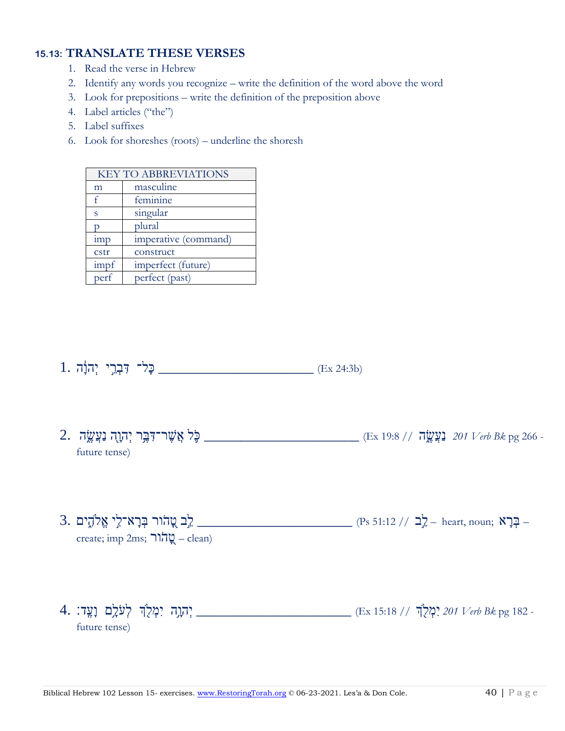#### **15.13: TRANSLATE THESE VERSES**

- 1. Read the verse in Hebrew
- 2. Identify any words you recognize write the definition of the word above the word
- 3. Look for prepositions write the definition of the preposition above
- 4. Label articles ("the")
- 5. Label suffixes
- 6. Look for shoreshes (roots) underline the shoresh

| <b>KEY TO ABBREVIATIONS</b> |                      |
|-----------------------------|----------------------|
| m                           | masculine            |
| f                           | feminine             |
| S                           | singular             |
|                             | plural               |
| 1mp                         | imperative (command) |
| cstr                        | construct            |
| impf                        | imperfect (future)   |
| perf                        | perfect (past)       |

- 
- 2. עַעֲשֶׂה אַ 201 201 מַעֲשֱה (Ex 19:8 // 5) באו (Ex 19:8 // 5) בַּעֲשֶׂה (Ex 19:8 // 5) בַּעֲשֶׂה בַּעֲשֶׂה future tense)
- בְּרָא־לְי אֱלֹהֶים .3 (Ps 51:12 // 2) בִּרְא־לִי אֱלֹהֶים. create; imp 2ms; הור $\mathbb{Q}$  – clean)
- 4. אַבָּל, דְּהָוֶה יִמְלֻךְּ לְעֹלָם וָעֱד: 4. (Ex 15:18 // "בּוֹחֵגָה יִמְלֹךְ לְעֹלָם וָעֱד: 4. future tense)